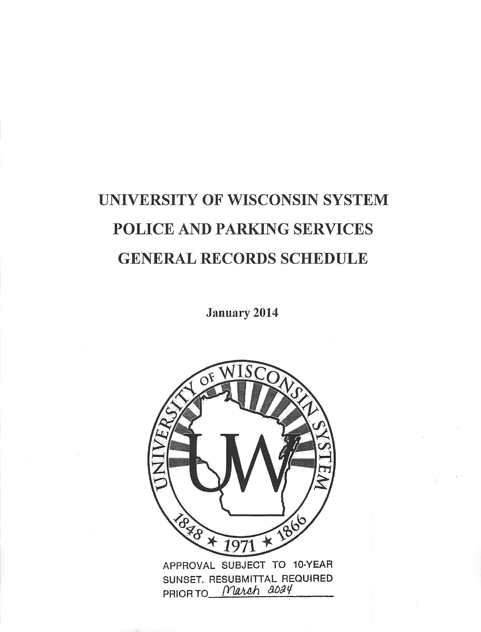# UNIVERSITY OF WISCONSIN SYSTEM POLICE AND PARKING SERVICES GENERAL RECORDS SCHEDULE

January 2014

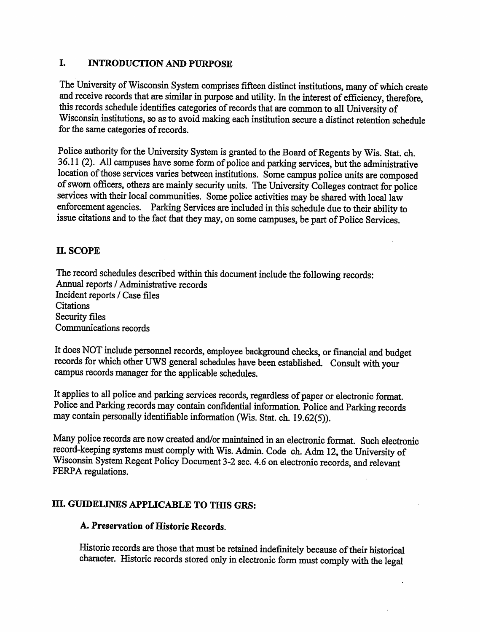# *I. INTRODUCTION AND PURPOSE*

The University of Wisconsin System comprises fifteen distinct institutions, many of which create and receive records that are similar in purpose and utility. In the interest of efficiency, therefore, this records schedule identifies categories ofrecords that are common to all University of Wisconsin institutions, so as to avoid making each institution secure a distinct retention schedule for the same categories of records.

Police authority for the University System is granted to the Board of Regents by Wis. Stat. ch. 36.11 (2). All campuses have some form of police and parking services, but the administrative location of those services varies between institutions. Some campus police units are composed of sworn officers, others are mainly security units. The University Colleges contract for police services with their local communities. Some police activities may be shared with local law enforcement agencies. Parking Services are included inthis schedule due to their ability to issue citations and to the fact that they may, on some campuses, be part of Police Services.

# n. scope

The record schedules described within this document include the following records: Annual reports / Administrative records Incident reports / Case files **Citations** Security files Communications records

It does NOT include personnel records, employee background checks, or financial and budget records for which other UWS general schedules have been established. Consult with your campus records manager for the applicable schedules.

It applies to all police and parking services records, regardless of paper or electronic format. Police and Parking records may contain confidential information. Police and Parking records may contain personally identifiable information (Wis. Stat. ch. 19.62(5)).

Many police records are now created and/or maintained in an electronic format. Such electronic record-keeping systems must comply with Wis. Admin. Code ch. Adm 12, the University of Wisconsin System Regent Policy Document 3-2 sec. 4.6 on electronic records, and relevant FERPA regulations.

# *m. GUIDELINES APPLICABLE TO THIS GRS:*

# A. Preservation of Historic Records.

Historic records are those that must be retained indefinitely because of their historical character. Historic records stored only in electronic form must comply with the legal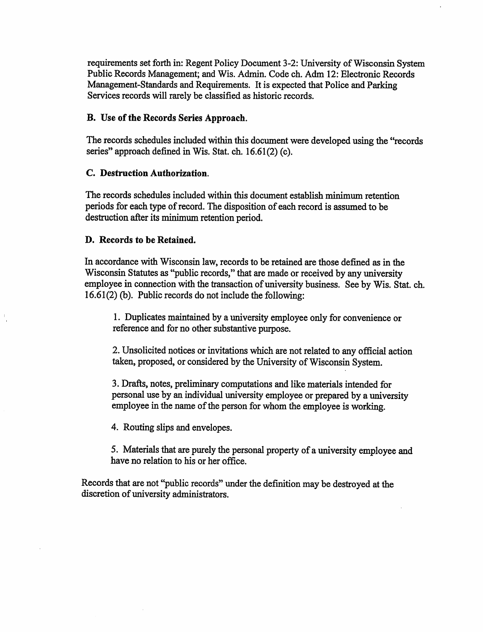requirements set forth in: Regent Policy Document 3-2: University of Wisconsin System Public Records Management; and Wis. Admin. Code ch. Adm 12: Electronic Records Management-Standards and Requirements. It is expected that Police and Parking Services records will rarely be classified as historic records.

#### *B. Use ofthe Records Series Approach.*

The records schedules included within this document were developed using the "records" series" approach defined in Wis. Stat. ch. 16.61(2)(c).

#### *C. Destruction Authorization.*

The records schedules included within this document establish minimum retention periods for each type of record. The disposition of each record is assumed to be destruction after its minimum retention period.

#### *D. Records to be Retained.*

In accordance with Wisconsin law, records to be retained are those defined as in the Wisconsin Statutes as "public records," that are made or received by any university employee in connection with the transaction of university business. See by Wis. Stat. ch.  $16.61(2)$  (b). Public records do not include the following:

1. Duplicates maintained by a university employee only for convenience or reference and for no other substantive purpose.

2. Unsolicited notices or invitations which are not related to any official action taken, proposed, or considered by the University of Wisconsin System.

3. Drafts, notes, preliminarycomputationsand like materials intended for personal use by an individual university employee or prepared by a university employee in the name of the person for whom the employee is working.

4. Routing slips and envelopes.

5. Materials that are purely the personal property of a university employee and have no relation to his or her office.

Records that are not "public records" under the definition may be destroyed at the discretion of university administrators.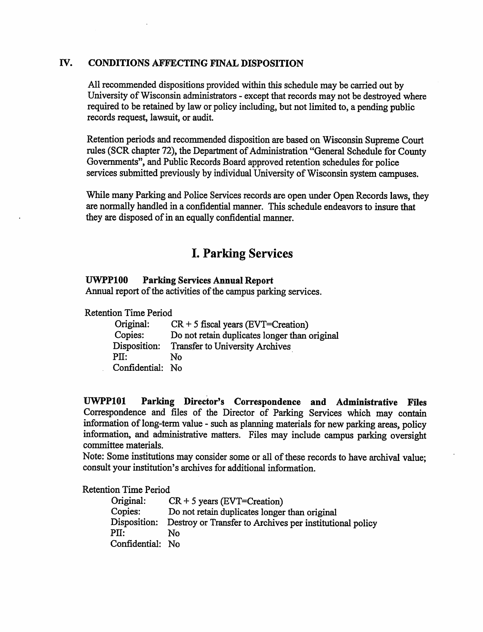# IV. CONDITIONS AFFECTING FINAL DISPOSITION

All recommended dispositions provided within this schedule may be carried out by University of Wisconsin administrators - except that records may not be destroyed where required to be retained by law or policy including, but not limited to, a pending public records request, lawsuit, or audit.

Retention periods and recommended disposition are based on Wisconsin Supreme Court rules (SCR chapter 72), the Department of Administration "General Schedule for County Governments", and Public Records Board approved retention schedules for police services submitted previously by individual University of Wisconsin system campuses.

While many Parking and Police Services records are open under Open Records laws, they are normally handled in a confidential manner. This schedule endeavors to insure that they are disposed of in an equally confidential manner.

# *I. Parking Services*

#### *UWPP100 Parking Services Annual Report*

Annual report of the activities of the campus parking services.

Retention Time Period

| Original:        | $CR + 5$ fiscal years (EVT=Creation)          |
|------------------|-----------------------------------------------|
| Copies:          | Do not retain duplicates longer than original |
| Disposition:     | Transfer to University Archives               |
| PII:             | N٥                                            |
| Confidential: No |                                               |

*UWPP101 Parking Director's Correspondence and Administrative Files* Correspondence and files of the Director of Parking Services which may contain information of long-term value - such as planning materials for new parking areas, policy information, and administrative matters. Files may include campus parking oversight committee materials.

Note: Some institutions may consider some or all of these records to have archival value; consult your institution's archives for additional information.

Retention Time Period

| Original:        | $CR + 5$ years (EVT=Creation)                                         |
|------------------|-----------------------------------------------------------------------|
| Copies:          | Do not retain duplicates longer than original                         |
|                  | Disposition: Destroy or Transfer to Archives per institutional policy |
| PII:             | N٥                                                                    |
| Confidential: No |                                                                       |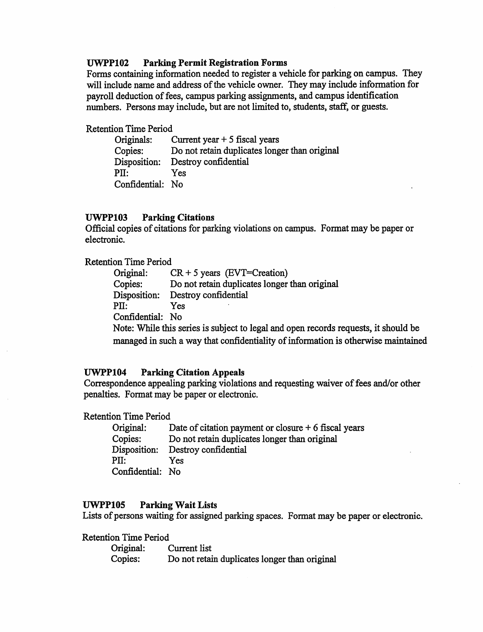#### *UWPP102 Parking Permit Registration Forms*

Forms containing information needed to register a vehicle for parking on campus. They will include name and address of the vehicle owner. They may include information for payroll deduction of fees, campus parking assignments, and campus identification numbers. Persons may include, but are not limited to, students, staff, or guests.

Retention Time Period

| Originals:    | Current year $+5$ fiscal years                |
|---------------|-----------------------------------------------|
| Copies:       | Do not retain duplicates longer than original |
| Disposition:  | Destroy confidential                          |
| PII:          | Yes                                           |
| Confidential: | - No                                          |

#### *UWPP103 Parking Citations*

Official copies of citations for parking violations on campus. Format may be paper or electronic.

Retention Time Period

| Original:        | $CR + 5 \text{ years}$ (EVT=Creation)         |
|------------------|-----------------------------------------------|
| Copies:          | Do not retain duplicates longer than original |
| Disposition:     | Destroy confidential                          |
| PII:             | Yes                                           |
| Confidential: No |                                               |
|                  | .                                             |

Note: While this series is subject to legal and open records requests, it should be managed in such a way that confidentiality of information is otherwise maintained

#### *UWPP104 Parking Citation Appeals*

Correspondence appealing parking violations and requesting waiver of fees and/or other penalties. Format may be paper or electronic.

Retention Time Period

| Original:        | Date of citation payment or closure $+6$ fiscal years |
|------------------|-------------------------------------------------------|
| Copies:          | Do not retain duplicates longer than original         |
| Disposition:     | Destroy confidential                                  |
| PII:             | Yes                                                   |
| Confidential: No |                                                       |

#### *UWPP105 Parking Wait Lists*

Lists of persons waiting for assigned parking spaces. Format may be paper or electronic.

Retention Time Period Original: Current list Copies: Do not retain duplicates longer than original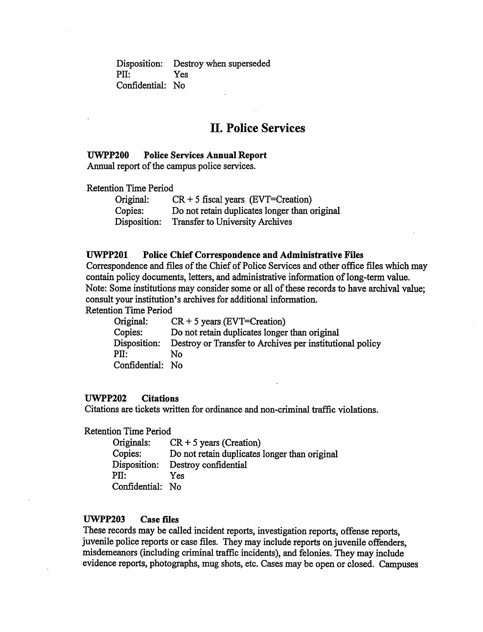Disposition: Destroy when superseded PII: Confidential: No Yes

# *II. Police Services*

#### *UWPP200 Police Services Annual Report*

Annual report of the campus police services.

Retention Time Period

| Original:    | $CR + 5$ fiscal years (EVT=Creation)          |
|--------------|-----------------------------------------------|
| Copies:      | Do not retain duplicates longer than original |
| Disposition: | <b>Transfer to University Archives</b>        |

#### *UWPP201 Police Chief Correspondence and Administrative Files*

Correspondence and files of the Chief of Police Services and other office files which may contain policy documents, letters, and administrative information of long-term value. Note: Some institutions may consider some or all of these records to have archival value; consult your institution's archives for additional information.

Retention Time Period

| Original:        | $CR + 5$ years (EVT=Creation)                            |
|------------------|----------------------------------------------------------|
| Copies:          | Do not retain duplicates longer than original            |
| Disposition:     | Destroy or Transfer to Archives per institutional policy |
| $\rm{PII}:$      | N٥                                                       |
| Confidential: No |                                                          |

#### UWPP202 *Citations*

Citations are tickets written for ordinance and non-criminal traffic violations.

Retention Time Period

| Originals:       | $CR + 5$ years (Creation)                     |
|------------------|-----------------------------------------------|
| Copies:          | Do not retain duplicates longer than original |
| Disposition:     | Destroy confidential                          |
| $\rm{PII}:$      | Yes                                           |
| Confidential: No |                                               |

#### *UWPP203 Case files*

These records may be called incident reports, investigation reports, offense reports, juvenile police reports or case files. They may include reports on juvenile offenders, misdemeanors (including criminal traffic incidents), and felonies. They may include evidence reports, photographs, mugshots, etc.Cases may be open or closed. Campuses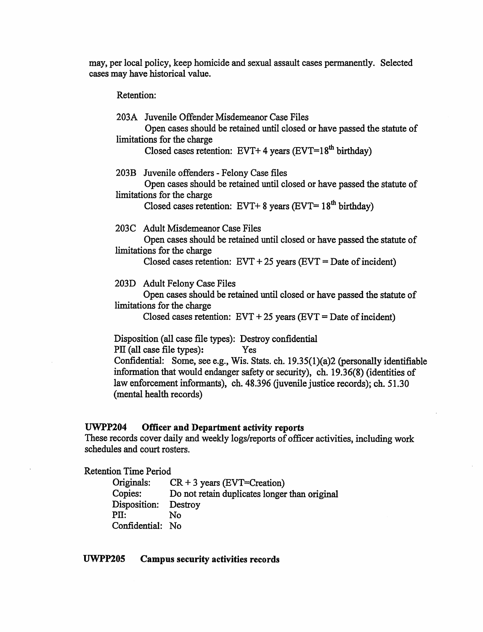may, per local policy, keep homicide and sexual assault cases permanently. Selected cases may have historical value.

Retention:

|      | 203A Juvenile Offender Misdemeanor Case Files                                                       |
|------|-----------------------------------------------------------------------------------------------------|
|      | Open cases should be retained until closed or have passed the statute of                            |
|      | limitations for the charge                                                                          |
|      | Closed cases retention: EVT+ 4 years (EVT=18 <sup>th</sup> birthday)                                |
| 203B | Juvenile offenders - Felony Case files                                                              |
|      | Open cases should be retained until closed or have passed the statute of                            |
|      | limitations for the charge                                                                          |
|      | Closed cases retention: EVT+ 8 years (EVT= $18th$ birthday)                                         |
|      |                                                                                                     |
|      | 203C Adult Misdemeanor Case Files                                                                   |
|      | Open cases should be retained until closed or have passed the statute of                            |
|      | limitations for the charge                                                                          |
|      | Closed cases retention: $EVT + 25$ years $(EVT = Date \ of \ incident)$                             |
|      | 203D Adult Felony Case Files                                                                        |
|      | Open cases should be retained until closed or have passed the statute of                            |
|      | limitations for the charge                                                                          |
|      | Closed cases retention: $EVT + 25$ years ( $EVT =$ Date of incident)                                |
|      |                                                                                                     |
|      | Disposition (all case file types): Destroy confidential                                             |
|      | PII (all case file types):<br>Yes                                                                   |
|      | Confidential: Some, see e.g., Wis. Stats. ch. 19.35(1)(a)2 (personally identifiable                 |
|      | $\mathbf{r}$ , and the state $\mathbf{r}$ , and the state $\mathbf{r}$ , and the state $\mathbf{r}$ |

information that would endanger safety or security), ch. 19.36(8) (identities of law enforcement informants), ch. 48.396 (juvenile justice records); ch. 51.30 (mental health records)

# *UWPP204 Officer and Department activity reports*

These records cover daily and weekly logs/reports of officer activities, including work schedules and court rosters.

| <b>Retention Time Period</b> |            |  |
|------------------------------|------------|--|
| O <sub>minol</sub>           | $CD + 2$ . |  |

 $\ddot{\phantom{a}}$ 

| Originals:       | $CR + 3$ years (EVT=Creation)                 |
|------------------|-----------------------------------------------|
| Copies:          | Do not retain duplicates longer than original |
| Disposition:     | Destroy                                       |
| PII:             | N٥                                            |
| Confidential: No |                                               |

## *UWPP205 Campus security activities records*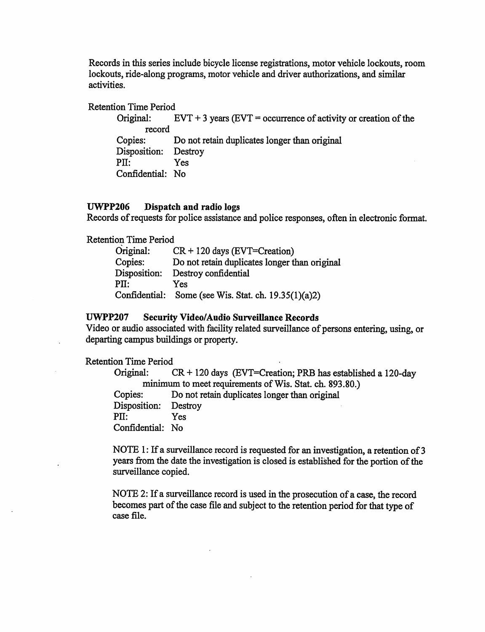Records in this series include bicycle license registrations, motor vehicle lockouts, room lockouts, ride-along programs, motor vehicle and driver authorizations, and similar activities.

Retention Time Period

Original:  $EVT + 3$  years  $(EVT =$  occurrence of activity or creation of the record Copies: Do not retain duplicates longer than original Disposition: Destroy PH: Yes Confidential: No

#### *UWPP206 Dispatch and radio logs*

Records of requests for police assistance and police responses, often in electronic format.

Retention Time Period

| Original:     | $CR + 120$ days (EVT=Creation)                |
|---------------|-----------------------------------------------|
| Copies:       | Do not retain duplicates longer than original |
| Disposition:  | Destroy confidential                          |
| $\rm{PII}:$   | Yes                                           |
| Confidential: | Some (see Wis. Stat. ch. $19.35(1)(a)2$ )     |

#### *UWPP207 Security Video/Audio Surveillance Records*

Video or audio associated with facility related surveillance of persons entering, using, or departing campus buildings or property.

#### Retention Time Period

Original:  $CR + 120 \text{ days}$  (EVT=Creation; PRB has established a 120-day minimum to meet requirements of Wis. Stat. ch. 893.80.) Copies: Do not retain duplicates longer than original Disposition: Destroy PII: Yes Confidential: No

NOTE 1: If a surveillance record is requested for an investigation, a retention of 3 years from the date the investigation is closed is established for the portion of the surveillance copied.

NOTE 2: If a surveillance record is used in the prosecution of a case, the record becomes part of the case file and subject to the retention period for that type of case file.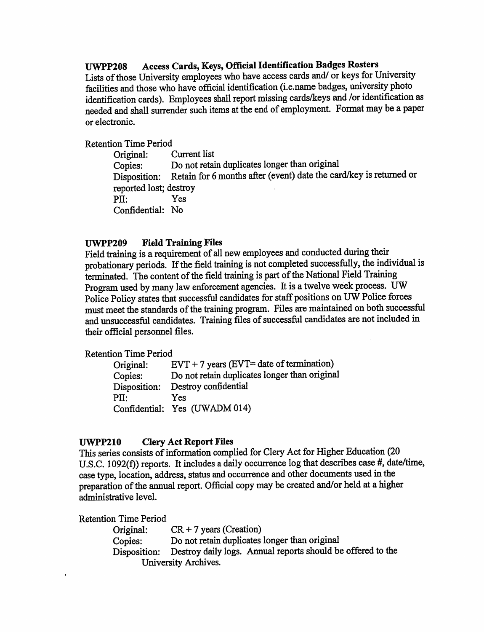# *UWPP208 Access Cards, Keys, Official Identification Badges Rosters*

Lists of those University employees who have access cards and/ or keys for University facilities and those who have official identification (i.e.name badges, university photo identification cards). Employees shall report missing cards/keys and /or identification as needed and shall surrender such items at the end of employment. Format may be a paper or electronic.

#### Retention Time Period

Original: Current list Copies: Do not retain duplicates longer than original Disposition: Retain for 6 months after (event) date the card/key is returned or reported lost; destroy PII: Yes Confidential: No

#### *UWPP209 Field Training Files*

Field training is a requirement of all new employees and conducted during their probationary periods. If the field training is not completed successfully, the individual is terminated. The content of the field training is part of the National Field Training Program used by many law enforcement agencies. It is a twelve week process. UW Police Policy states that successful candidates for staff positions on UW Police forces must meet the standards of the training program. Files are maintained on both successful and unsuccessful candidates. Training files of successful candidates are not included in their official personnel files.

Retention Time Period

| Original:    | $EVT + 7$ years ( $EVT =$ date of termination) |
|--------------|------------------------------------------------|
| Copies:      | Do not retain duplicates longer than original  |
| Disposition: | Destroy confidential                           |
| PH:          | Yes                                            |
|              | Confidential: Yes (UWADM 014)                  |

#### *UWPP210 Clery Act Report Files*

This series consists of information complied for Clery Act for Higher Education (20 U.S.C. 1092(f)) reports. It includes a daily occurrence log that describes case  $\#$ , date/time, case type, location, address, status and occurrence and other documents used inthe preparation of the annual report. Official copy may be created and/or held at a higher administrative level.

Retention Time Period

| Original:            | $CR + 7$ years (Creation)                                   |
|----------------------|-------------------------------------------------------------|
| Copies:              | Do not retain duplicates longer than original               |
| Disposition:         | Destroy daily logs. Annual reports should be offered to the |
| University Archives. |                                                             |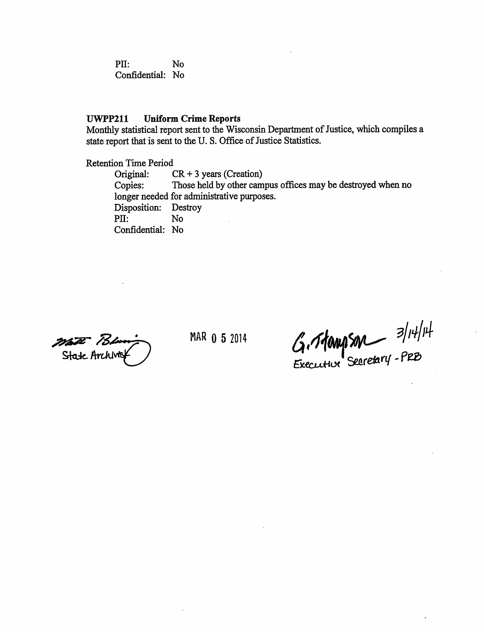PH: No Confidential: No

#### *UWPP211 Uniform Crime Reports*

Monthly statistical report sent to the Wisconsin Department of Justice, which compiles a state report that is sent to the U.S. Office of Justice Statistics.

Retention Time Period

Original: CR + 3 years (Creation) Copies: Those held by other campus offices may be destroyed when no longer needed for administrative purposes. Disposition: Destroy<br>PII: No  $PII:$ Confidential: No

 $\frac{1}{\sqrt{2\pi}}$  *MAR* 052014  $\frac{1}{\sqrt{2\pi}}$  **3**/H/H<br>State Archiver